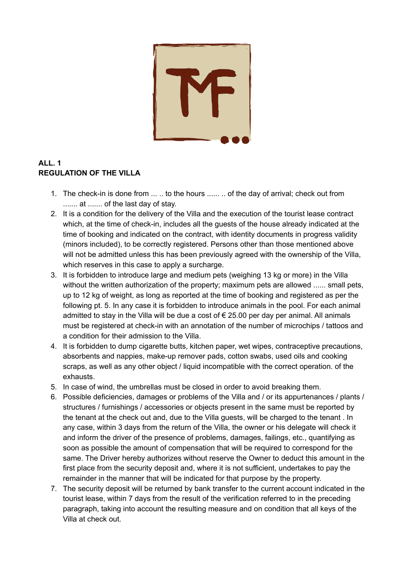

## **ALL. 1 REGULATION OF THE VILLA**

- 1. The check-in is done from ... .. to the hours ...... .. of the day of arrival; check out from ....... at ....... of the last day of stay.
- 2. It is a condition for the delivery of the Villa and the execution of the tourist lease contract which, at the time of check-in, includes all the guests of the house already indicated at the time of booking and indicated on the contract, with identity documents in progress validity (minors included), to be correctly registered. Persons other than those mentioned above will not be admitted unless this has been previously agreed with the ownership of the Villa, which reserves in this case to apply a surcharge.
- 3. It is forbidden to introduce large and medium pets (weighing 13 kg or more) in the Villa without the written authorization of the property; maximum pets are allowed ...... small pets, up to 12 kg of weight, as long as reported at the time of booking and registered as per the following pt. 5. In any case it is forbidden to introduce animals in the pool. For each animal admitted to stay in the Villa will be due a cost of  $\epsilon$  25.00 per day per animal. All animals must be registered at check-in with an annotation of the number of microchips / tattoos and a condition for their admission to the Villa.
- 4. It is forbidden to dump cigarette butts, kitchen paper, wet wipes, contraceptive precautions, absorbents and nappies, make-up remover pads, cotton swabs, used oils and cooking scraps, as well as any other object / liquid incompatible with the correct operation. of the exhausts.
- 5. In case of wind, the umbrellas must be closed in order to avoid breaking them.
- 6. Possible deficiencies, damages or problems of the Villa and / or its appurtenances / plants / structures / furnishings / accessories or objects present in the same must be reported by the tenant at the check out and, due to the Villa guests, will be charged to the tenant . In any case, within 3 days from the return of the Villa, the owner or his delegate will check it and inform the driver of the presence of problems, damages, failings, etc., quantifying as soon as possible the amount of compensation that will be required to correspond for the same. The Driver hereby authorizes without reserve the Owner to deduct this amount in the first place from the security deposit and, where it is not sufficient, undertakes to pay the remainder in the manner that will be indicated for that purpose by the property.
- 7. The security deposit will be returned by bank transfer to the current account indicated in the tourist lease, within 7 days from the result of the verification referred to in the preceding paragraph, taking into account the resulting measure and on condition that all keys of the Villa at check out.